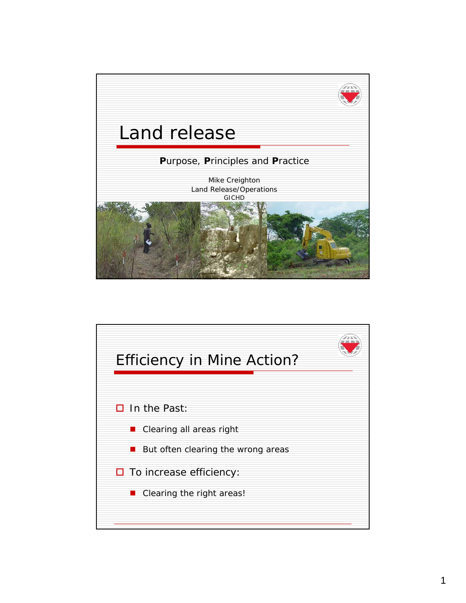

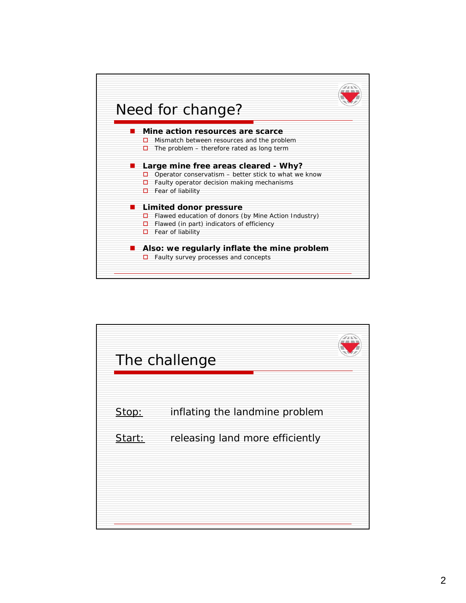

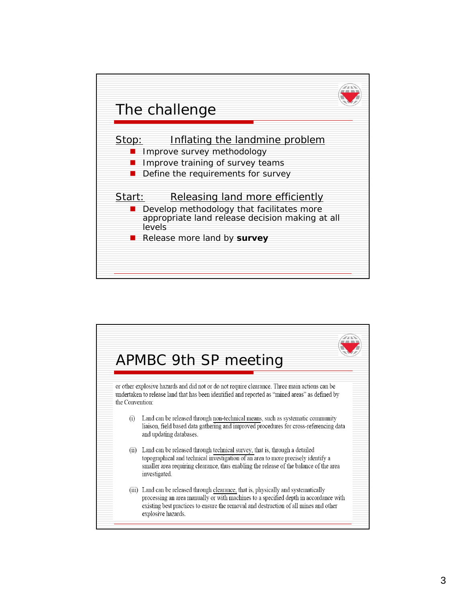

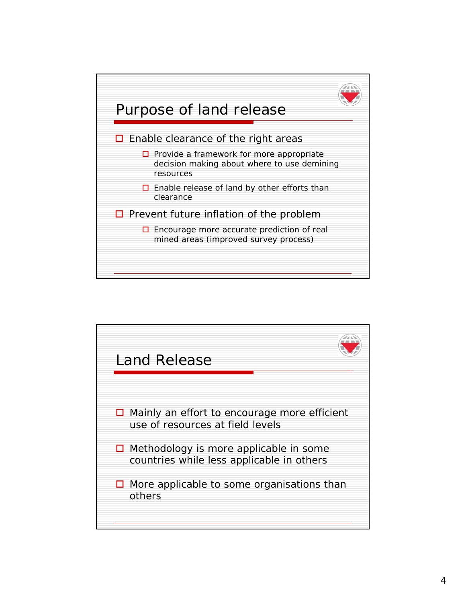

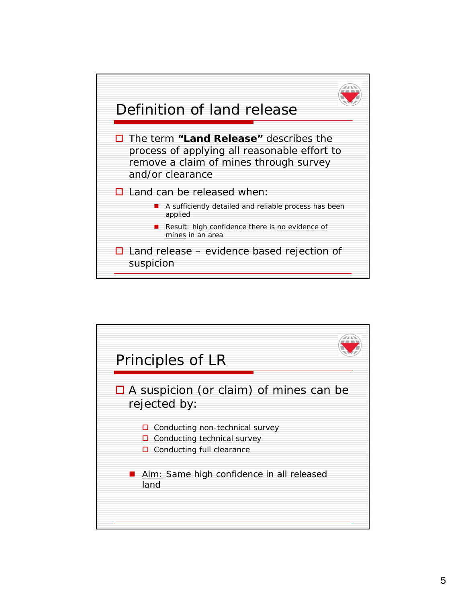

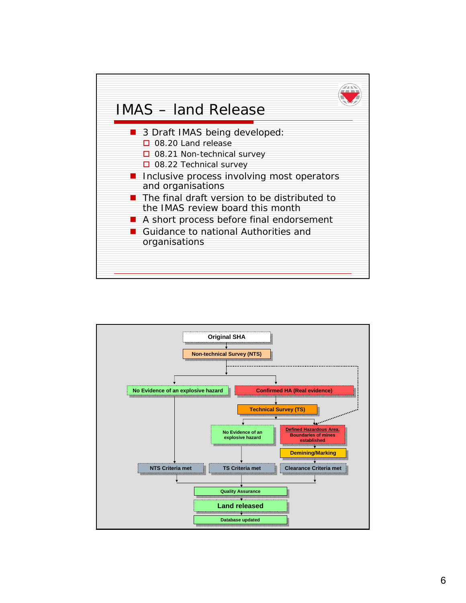

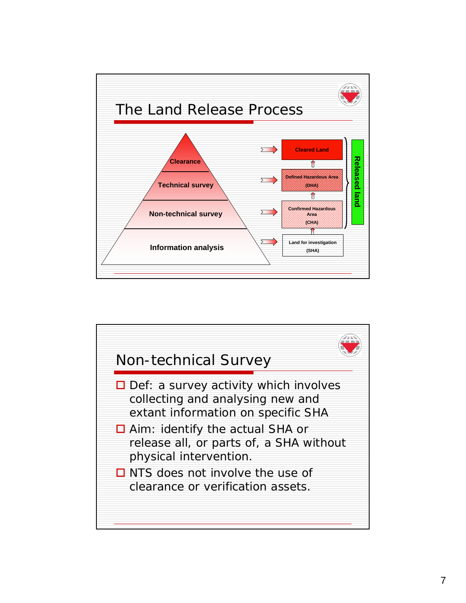

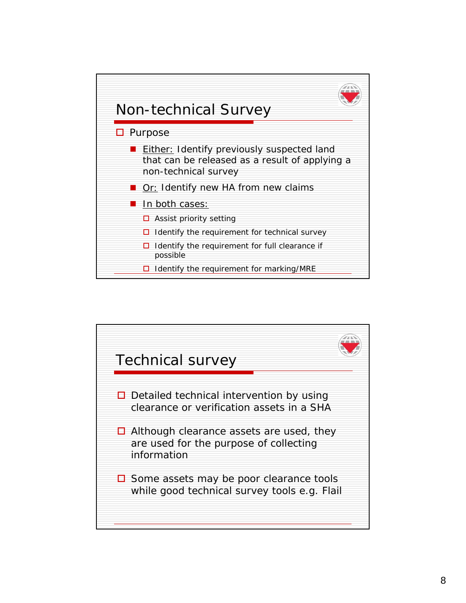

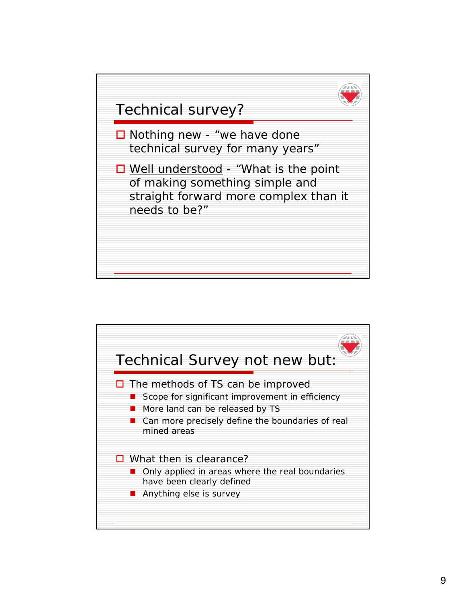

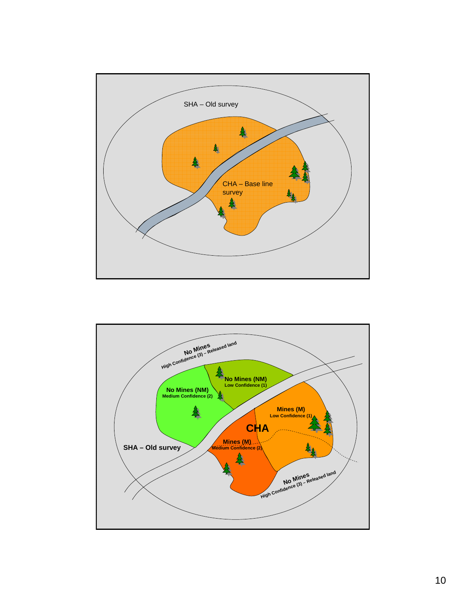

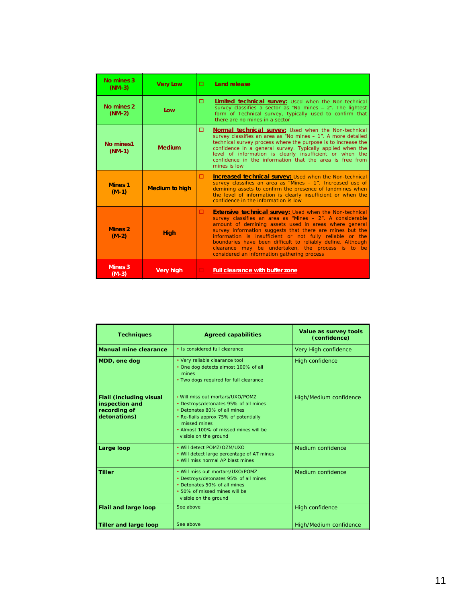| No mines 3<br>$(NM-3)$        | <b>Very Low</b>       | n. | Land release                                                                                                                                                                                                                                                                                                                                                                                                                                                                   |  |  |
|-------------------------------|-----------------------|----|--------------------------------------------------------------------------------------------------------------------------------------------------------------------------------------------------------------------------------------------------------------------------------------------------------------------------------------------------------------------------------------------------------------------------------------------------------------------------------|--|--|
| No mines 2<br>$(NM-2)$        | Low                   | n. | Limited technical survey: Used when the Non-technical<br>survey classifies a sector as "No mines $-2$ ". The lightest<br>form of Technical survey, typically used to confirm that<br>there are no mines in a sector                                                                                                                                                                                                                                                            |  |  |
| No mines1<br>$(NM-1)$         | <b>Medium</b>         | ▫  | <b>Normal technical survey:</b> Used when the Non-technical<br>survey classifies an area as "No mines - 1". A more detailed<br>technical survey process where the purpose is to increase the<br>confidence in a general survey. Typically applied when the<br>level of information is clearly insufficient or when the<br>confidence in the information that the area is free from<br>mines is low                                                                             |  |  |
| <b>Mines 1</b><br>$(M-1)$     | <b>Medium to high</b> |    | <b>Increased technical survey:</b> Used when the Non-technical<br>survey classifies an area as "Mines - 1". Increased use of<br>demining assets to confirm the presence of landmines when<br>the level of information is clearly insufficient or when the<br>confidence in the information is low                                                                                                                                                                              |  |  |
| Mines <sub>2</sub><br>$(M-2)$ | <b>High</b>           | □. | <b>Extensive technical survey: Used when the Non-technical</b><br>survey classifies an area as "Mines - 2". A considerable<br>amount of demining assets used in areas where general<br>survey information suggests that there are mines but the<br>information is insufficient or not fully reliable or the<br>boundaries have been difficult to reliably define. Although<br>clearance may be undertaken, the process is to be<br>considered an information gathering process |  |  |
| Mines <sub>3</sub><br>$(M-3)$ | <b>Very high</b>      |    | <b>Full clearance with buffer zone</b>                                                                                                                                                                                                                                                                                                                                                                                                                                         |  |  |

| <b>Techniques</b>                                                                | <b>Agreed capabilities</b>                                                                                                                                                                                                           | Value as survey tools<br>(confidence) |  |  |
|----------------------------------------------------------------------------------|--------------------------------------------------------------------------------------------------------------------------------------------------------------------------------------------------------------------------------------|---------------------------------------|--|--|
| Manual mine clearance                                                            | • Is considered full clearance                                                                                                                                                                                                       | Very High confidence                  |  |  |
| MDD, one dog                                                                     | • Very reliable clearance tool<br>• One dog detects almost 100% of all<br>mines<br>• Two dogs required for full clearance                                                                                                            | High confidence                       |  |  |
| <b>Flail (including visual</b><br>inspection and<br>recording of<br>detonations) | . Will miss out mortars/UXO/POMZ<br>• Destroys/detonates 95% of all mines<br>• Detonates 80% of all mines<br>• Re-flails approx 75% of potentially<br>missed mines<br>• Almost 100% of missed mines will be<br>visible on the ground | High/Medium confidence                |  |  |
| Large loop                                                                       | • Will detect POM7/O7M/UXO<br>• Will detect large percentage of AT mines<br>. Will miss normal AP blast mines                                                                                                                        | Medium confidence                     |  |  |
| <b>Tiller</b>                                                                    | . Will miss out mortars/UXO/POMZ<br>• Destroys/detonates 95% of all mines<br>• Detonates 50% of all mines<br>• 50% of missed mines will be<br>visible on the ground                                                                  | Medium confidence                     |  |  |
| <b>Flail and large loop</b>                                                      | See above                                                                                                                                                                                                                            | High confidence                       |  |  |
| <b>Tiller and large loop</b>                                                     | See above                                                                                                                                                                                                                            | High/Medium confidence                |  |  |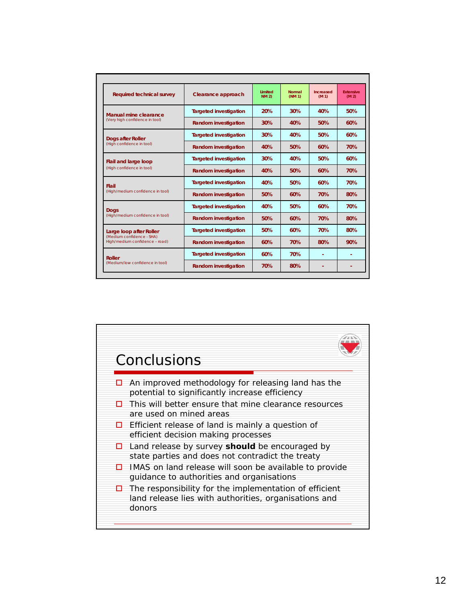| <b>Required technical survey</b>                            | Clearance approach            | Limited<br><b>NM 2)</b> | <b>Normal</b><br>(NM <sub>1</sub> ) | Increased<br>(M <sub>1</sub> ) | <b>Extensive</b><br>(M <sub>2</sub> ) |
|-------------------------------------------------------------|-------------------------------|-------------------------|-------------------------------------|--------------------------------|---------------------------------------|
| Manual mine clearance                                       | <b>Targeted investigation</b> | 20%                     | 30%                                 | 40%                            | 50%                                   |
| (Very high confidence in tool)                              | <b>Random investigation</b>   | 30%                     | 40%                                 | 50%                            | 60%                                   |
| <b>Dogs after Roller</b>                                    | <b>Targeted investigation</b> | 30%                     | 40%                                 | 50%                            | 60%                                   |
| (High confidence in tool)                                   | <b>Random investigation</b>   | 40%                     | 50%                                 | 60%                            | 70%                                   |
| Flail and large loop                                        | <b>Targeted investigation</b> | 30%                     | 40%                                 | 50%                            | 60%                                   |
| (High confidence in tool)                                   | <b>Random investigation</b>   | 40%                     | 50%                                 | 60%                            | 70%                                   |
| Flail                                                       | <b>Targeted investigation</b> | 40%                     | 50%                                 | 60%                            | 70%                                   |
| (High/medium confidence in tool)                            | <b>Random investigation</b>   | 50%                     | 60%                                 | 70%                            | 80%                                   |
| <b>Dogs</b>                                                 | <b>Targeted investigation</b> | 40%                     | 50%                                 | 60%                            | 70%                                   |
| (High/medium confidence in tool)                            | <b>Random investigation</b>   | 50%                     | 60%                                 | 70%                            | 80%                                   |
| Large loop after Roller                                     | <b>Targeted investigation</b> | 50%                     | 60%                                 | 70%                            | 80%                                   |
| (Medium confidence - SHA)<br>High/medium confidence - road) | <b>Random investigation</b>   | 60%                     | 70%                                 | 80%                            | 90%                                   |
| <b>Roller</b>                                               | <b>Targeted investigation</b> | 60%                     | 70%                                 |                                |                                       |
| (Medium/low confidence in tool)                             | <b>Random investigation</b>   | 70%                     | 80%                                 |                                |                                       |